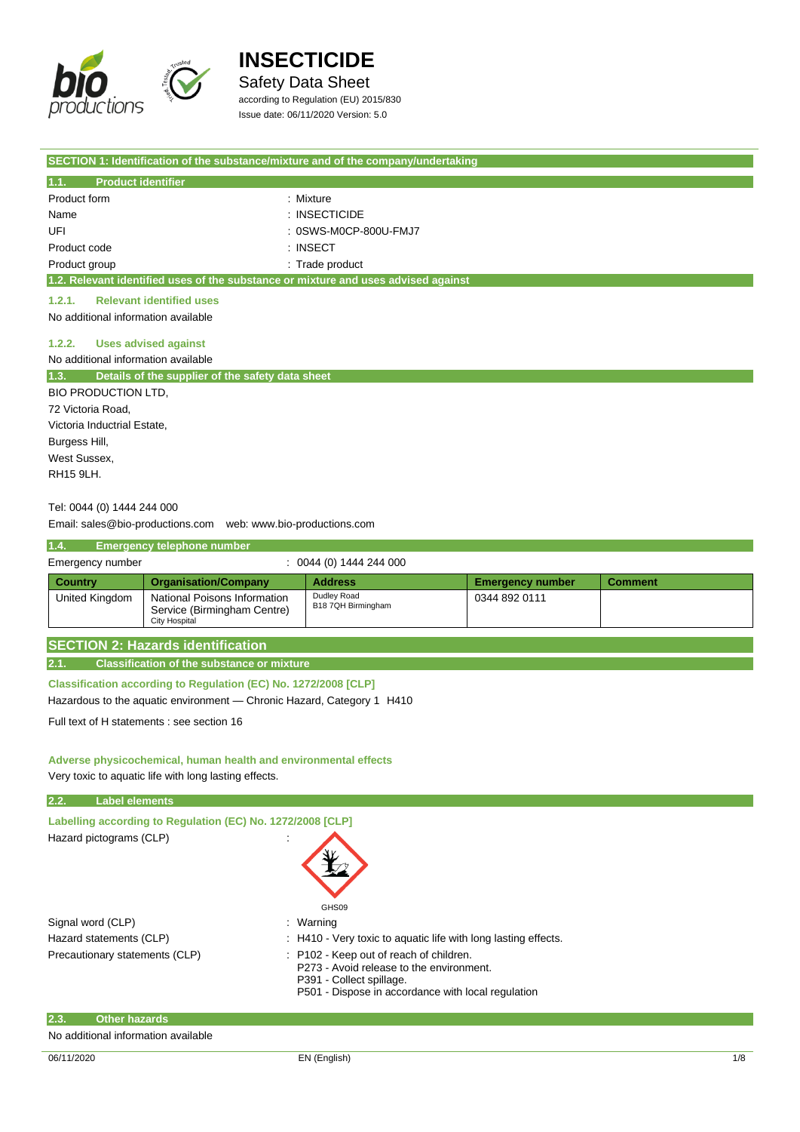

Safety Data Sheet according to Regulation (EU) 2015/830

Issue date: 06/11/2020 Version: 5.0

|                                     |                                                                                                                          | SECTION 1: Identification of the substance/mixture and of the company/undertaking  |                         |                |  |
|-------------------------------------|--------------------------------------------------------------------------------------------------------------------------|------------------------------------------------------------------------------------|-------------------------|----------------|--|
| 1.1.<br><b>Product identifier</b>   |                                                                                                                          |                                                                                    |                         |                |  |
| Product form                        |                                                                                                                          | : Mixture                                                                          |                         |                |  |
| Name                                |                                                                                                                          | $:$ INSECTICIDE                                                                    |                         |                |  |
| UFI                                 |                                                                                                                          | : 0SWS-M0CP-800U-FMJ7                                                              |                         |                |  |
| Product code                        |                                                                                                                          | $:$ INSECT                                                                         |                         |                |  |
| Product group                       |                                                                                                                          | : Trade product                                                                    |                         |                |  |
|                                     |                                                                                                                          | 1.2. Relevant identified uses of the substance or mixture and uses advised against |                         |                |  |
| 1.2.1.                              | <b>Relevant identified uses</b>                                                                                          |                                                                                    |                         |                |  |
| No additional information available |                                                                                                                          |                                                                                    |                         |                |  |
| 1.2.2.                              | <b>Uses advised against</b>                                                                                              |                                                                                    |                         |                |  |
| No additional information available |                                                                                                                          |                                                                                    |                         |                |  |
| 1.3.                                | Details of the supplier of the safety data sheet                                                                         |                                                                                    |                         |                |  |
| <b>BIO PRODUCTION LTD,</b>          |                                                                                                                          |                                                                                    |                         |                |  |
| 72 Victoria Road,                   |                                                                                                                          |                                                                                    |                         |                |  |
| Victoria Inductrial Estate,         |                                                                                                                          |                                                                                    |                         |                |  |
| Burgess Hill,                       |                                                                                                                          |                                                                                    |                         |                |  |
| West Sussex,                        |                                                                                                                          |                                                                                    |                         |                |  |
| RH15 9LH.                           |                                                                                                                          |                                                                                    |                         |                |  |
|                                     |                                                                                                                          |                                                                                    |                         |                |  |
| Tel: 0044 (0) 1444 244 000          |                                                                                                                          |                                                                                    |                         |                |  |
|                                     | Email: sales@bio-productions.com    web: www.bio-productions.com                                                         |                                                                                    |                         |                |  |
| 1.4.                                | Emergency telephone number                                                                                               |                                                                                    |                         |                |  |
| Emergency number                    |                                                                                                                          | $: 0044(0)$ 1444 244 000                                                           |                         |                |  |
| <b>Country</b>                      | <b>Organisation/Company</b>                                                                                              | <b>Address</b>                                                                     | <b>Emergency number</b> | <b>Comment</b> |  |
| <b>United Kingdom</b>               | National Poisons Information<br>Service (Birmingham Centre)<br><b>City Hospital</b>                                      | Dudley Road<br>B18 7QH Birmingham                                                  | 0344 892 0111           |                |  |
|                                     | <b>SECTION 2: Hazards identification</b>                                                                                 |                                                                                    |                         |                |  |
| 2.1.                                | <b>Classification of the substance or mixture</b>                                                                        |                                                                                    |                         |                |  |
|                                     | Classification according to Regulation (EC) No. 1272/2008 [CLP]                                                          |                                                                                    |                         |                |  |
|                                     | Hazardous to the aquatic environment - Chronic Hazard, Category 1 H410                                                   |                                                                                    |                         |                |  |
|                                     | Full text of H statements : see section 16                                                                               |                                                                                    |                         |                |  |
|                                     |                                                                                                                          |                                                                                    |                         |                |  |
|                                     |                                                                                                                          |                                                                                    |                         |                |  |
|                                     | Adverse physicochemical, human health and environmental effects<br>Very toxic to aquatic life with long lasting effects. |                                                                                    |                         |                |  |
|                                     |                                                                                                                          |                                                                                    |                         |                |  |
| 2.2.<br><b>Label elements</b>       |                                                                                                                          |                                                                                    |                         |                |  |
|                                     | Labelling according to Regulation (EC) No. 1272/2008 [CLP]                                                               |                                                                                    |                         |                |  |
| Hazard pictograms (CLP)             |                                                                                                                          |                                                                                    |                         |                |  |
|                                     |                                                                                                                          |                                                                                    |                         |                |  |
|                                     |                                                                                                                          |                                                                                    |                         |                |  |
|                                     |                                                                                                                          |                                                                                    |                         |                |  |
|                                     |                                                                                                                          | GHS09                                                                              |                         |                |  |
| Signal word (CLP)                   |                                                                                                                          | : Warning                                                                          |                         |                |  |
| Hazard statements (CLP)             |                                                                                                                          | : H410 - Very toxic to aquatic life with long lasting effects.                     |                         |                |  |

|  |  |  | : H410 - Very toxic to aqua |  |  |
|--|--|--|-----------------------------|--|--|
|  |  |  |                             |  |  |

- Precautionary statements (CLP) : P102 Keep out of reach of children.
	- P273 Avoid release to the environment.
	- P391 Collect spillage.
	- P501 Dispose in accordance with local regulation

| 2.3. | ∣ Other hazards ˈ                   |
|------|-------------------------------------|
|      | No additional information available |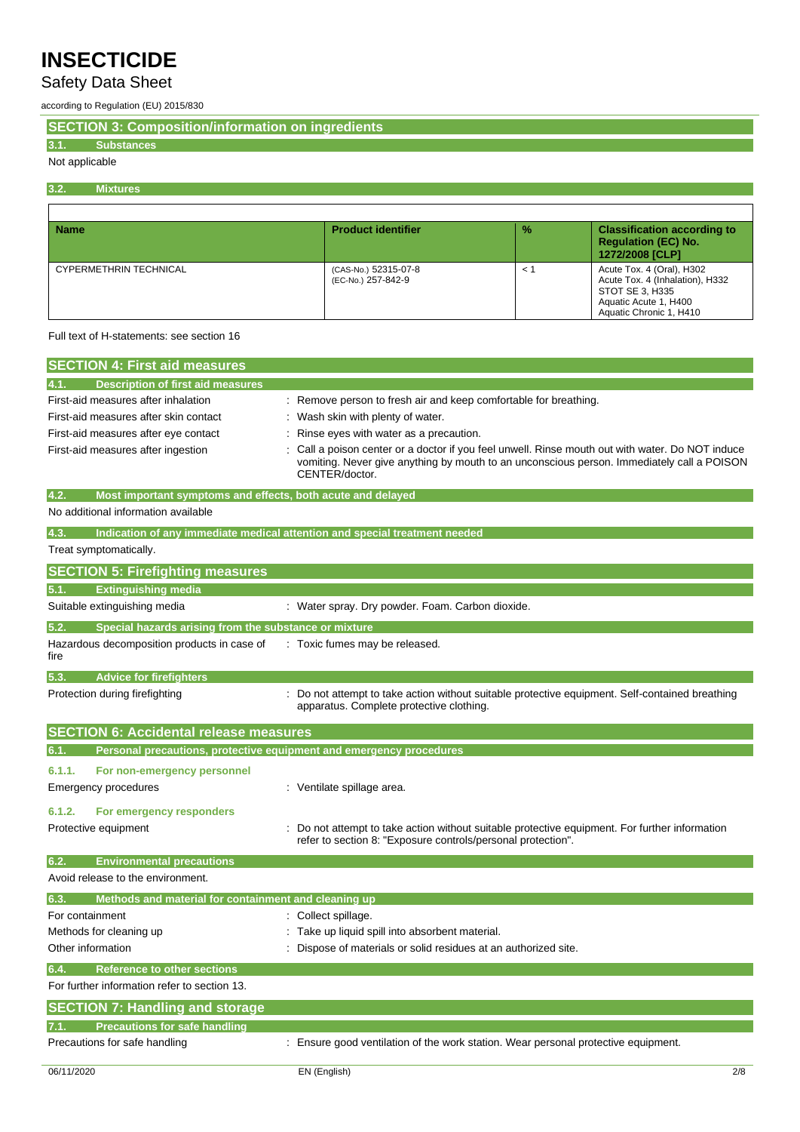## Safety Data Sheet

according to Regulation (EU) 2015/830

**SECTION 3: Composition/information on ingredients**

### **3.1. Substances**

## Not applicable

f

**3.2. Mixtures**

| <b>Name</b>                   | <b>Product identifier</b>                  | $\frac{9}{6}$ | <b>Classification according to</b><br><b>Requlation (EC) No.</b><br>1272/2008 [CLP]                                                 |
|-------------------------------|--------------------------------------------|---------------|-------------------------------------------------------------------------------------------------------------------------------------|
| <b>CYPERMETHRIN TECHNICAL</b> | (CAS-No.) 52315-07-8<br>(EC-No.) 257-842-9 | $\leq$ $\leq$ | Acute Tox. 4 (Oral), H302<br>Acute Tox. 4 (Inhalation), H332<br>STOT SE 3, H335<br>Aquatic Acute 1, H400<br>Aquatic Chronic 1, H410 |

#### Full text of H-statements: see section 16

| <b>SECTION 4: First aid measures</b>                                       |                                                                                                                                                                                                                |
|----------------------------------------------------------------------------|----------------------------------------------------------------------------------------------------------------------------------------------------------------------------------------------------------------|
| <b>Description of first aid measures</b>                                   |                                                                                                                                                                                                                |
| First-aid measures after inhalation                                        | : Remove person to fresh air and keep comfortable for breathing.                                                                                                                                               |
| First-aid measures after skin contact                                      | : Wash skin with plenty of water.                                                                                                                                                                              |
| First-aid measures after eye contact                                       | Rinse eyes with water as a precaution.                                                                                                                                                                         |
| First-aid measures after ingestion                                         | Call a poison center or a doctor if you feel unwell. Rinse mouth out with water. Do NOT induce<br>vomiting. Never give anything by mouth to an unconscious person. Immediately call a POISON<br>CENTER/doctor. |
| 4.2.<br>Most important symptoms and effects, both acute and delayed        |                                                                                                                                                                                                                |
| No additional information available                                        |                                                                                                                                                                                                                |
| 4.3.                                                                       | Indication of any immediate medical attention and special treatment needed                                                                                                                                     |
| Treat symptomatically.                                                     |                                                                                                                                                                                                                |
| <b>SECTION 5: Firefighting measures</b>                                    |                                                                                                                                                                                                                |
| <b>Extinguishing media</b><br>5.1.                                         |                                                                                                                                                                                                                |
| Suitable extinguishing media                                               | : Water spray. Dry powder. Foam. Carbon dioxide.                                                                                                                                                               |
| 5.2.<br>Special hazards arising from the substance or mixture              |                                                                                                                                                                                                                |
| Hazardous decomposition products in case of<br>fire                        | : Toxic fumes may be released.                                                                                                                                                                                 |
| <b>Advice for firefighters</b><br>5.3.                                     |                                                                                                                                                                                                                |
| Protection during firefighting                                             | Do not attempt to take action without suitable protective equipment. Self-contained breathing<br>apparatus. Complete protective clothing.                                                                      |
| <b>SECTION 6: Accidental release measures</b>                              |                                                                                                                                                                                                                |
| Personal precautions, protective equipment and emergency procedures<br>6.1 |                                                                                                                                                                                                                |
| 6.1.1.<br>For non-emergency personnel                                      |                                                                                                                                                                                                                |
| Emergency procedures                                                       | : Ventilate spillage area.                                                                                                                                                                                     |
| 6.1.2.<br>For emergency responders                                         |                                                                                                                                                                                                                |
| Protective equipment                                                       | Do not attempt to take action without suitable protective equipment. For further information                                                                                                                   |
|                                                                            | refer to section 8: "Exposure controls/personal protection".                                                                                                                                                   |
| <b>Environmental precautions</b><br>6.2.                                   |                                                                                                                                                                                                                |
| Avoid release to the environment.                                          |                                                                                                                                                                                                                |
| 6.3.<br>Methods and material for containment and cleaning up               |                                                                                                                                                                                                                |
| For containment                                                            | : Collect spillage.                                                                                                                                                                                            |
| Methods for cleaning up                                                    | Take up liquid spill into absorbent material.                                                                                                                                                                  |
| Other information                                                          | Dispose of materials or solid residues at an authorized site.                                                                                                                                                  |
| 6.4.<br><b>Reference to other sections</b>                                 |                                                                                                                                                                                                                |
| For further information refer to section 13.                               |                                                                                                                                                                                                                |
| <b>SECTION 7: Handling and storage</b>                                     |                                                                                                                                                                                                                |
| <b>Precautions for safe handling</b><br>7.1.                               |                                                                                                                                                                                                                |
|                                                                            |                                                                                                                                                                                                                |
| Precautions for safe handling                                              | Ensure good ventilation of the work station. Wear personal protective equipment.                                                                                                                               |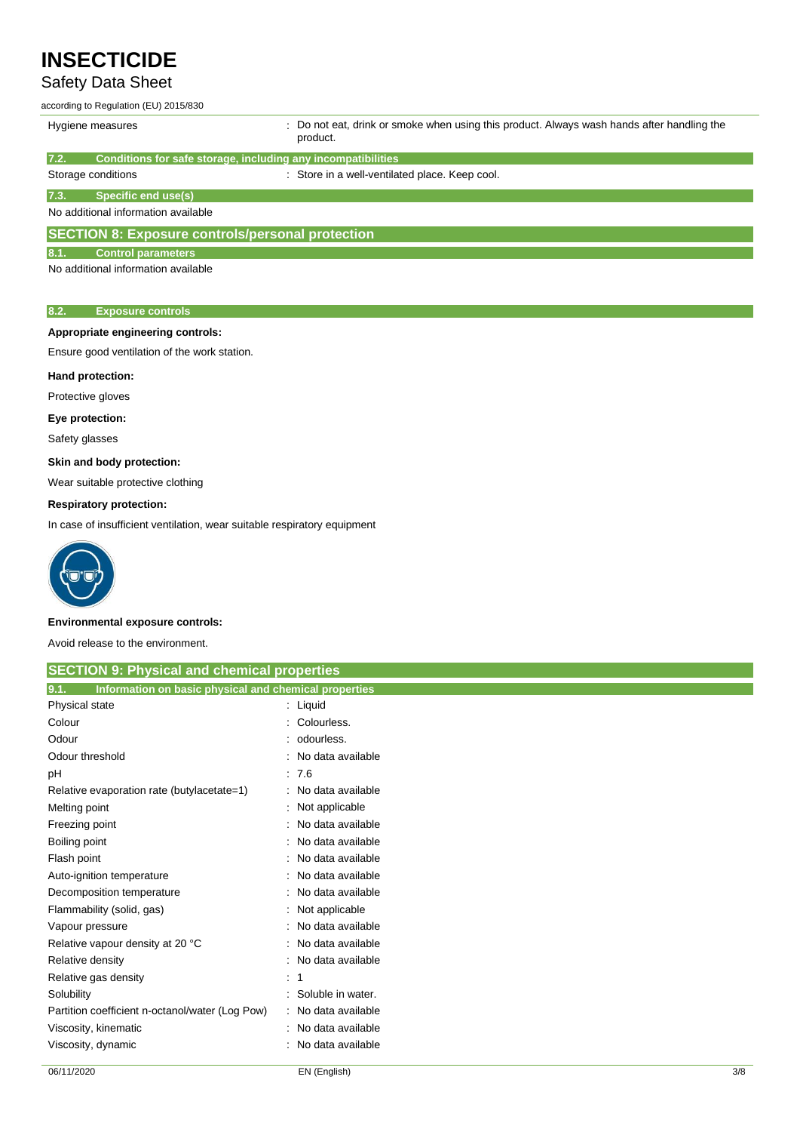## Safety Data Sheet

according to Regulation (EU) 2015/830

| Hygiene measures                                                      | : Do not eat, drink or smoke when using this product. Always wash hands after handling the<br>product. |  |  |
|-----------------------------------------------------------------------|--------------------------------------------------------------------------------------------------------|--|--|
| Conditions for safe storage, including any incompatibilities<br>17.2. |                                                                                                        |  |  |
| Storage conditions                                                    | : Store in a well-ventilated place. Keep cool.                                                         |  |  |
| Specific end use(s)<br>17.3.                                          |                                                                                                        |  |  |
| No additional information available                                   |                                                                                                        |  |  |

**SECTION 8: Exposure controls/personal protection**

### **8.1. Control parameters**

No additional information available

### **8.2. Exposure controls**

## **Appropriate engineering controls:**

Ensure good ventilation of the work station.

### **Hand protection:**

Protective gloves

### **Eye protection:**

Safety glasses

#### **Skin and body protection:**

Wear suitable protective clothing

#### **Respiratory protection:**

In case of insufficient ventilation, wear suitable respiratory equipment



#### **Environmental exposure controls:**

Avoid release to the environment.

| <b>SECTION 9: Physical and chemical properties</b>            |                   |  |  |  |  |
|---------------------------------------------------------------|-------------------|--|--|--|--|
| 9.1.<br>Information on basic physical and chemical properties |                   |  |  |  |  |
| Physical state                                                | : Liquid          |  |  |  |  |
| Colour                                                        | Colourless.       |  |  |  |  |
| Odour                                                         | odourless.        |  |  |  |  |
| Odour threshold                                               | No data available |  |  |  |  |
| рH                                                            | .76               |  |  |  |  |
| Relative evaporation rate (butylacetate=1)                    | No data available |  |  |  |  |
| Melting point                                                 | Not applicable    |  |  |  |  |
| Freezing point                                                | No data available |  |  |  |  |
| Boiling point                                                 | No data available |  |  |  |  |
| Flash point                                                   | No data available |  |  |  |  |
| Auto-ignition temperature                                     | No data available |  |  |  |  |
| Decomposition temperature                                     | No data available |  |  |  |  |
| Flammability (solid, gas)                                     | : Not applicable  |  |  |  |  |
| Vapour pressure                                               | No data available |  |  |  |  |
| Relative vapour density at 20 °C                              | No data available |  |  |  |  |
| Relative density                                              | No data available |  |  |  |  |
| Relative gas density                                          | -1                |  |  |  |  |
| Solubility                                                    | Soluble in water. |  |  |  |  |
| Partition coefficient n-octanol/water (Log Pow)               | No data available |  |  |  |  |
| Viscosity, kinematic                                          | No data available |  |  |  |  |
| Viscosity, dynamic                                            | No data available |  |  |  |  |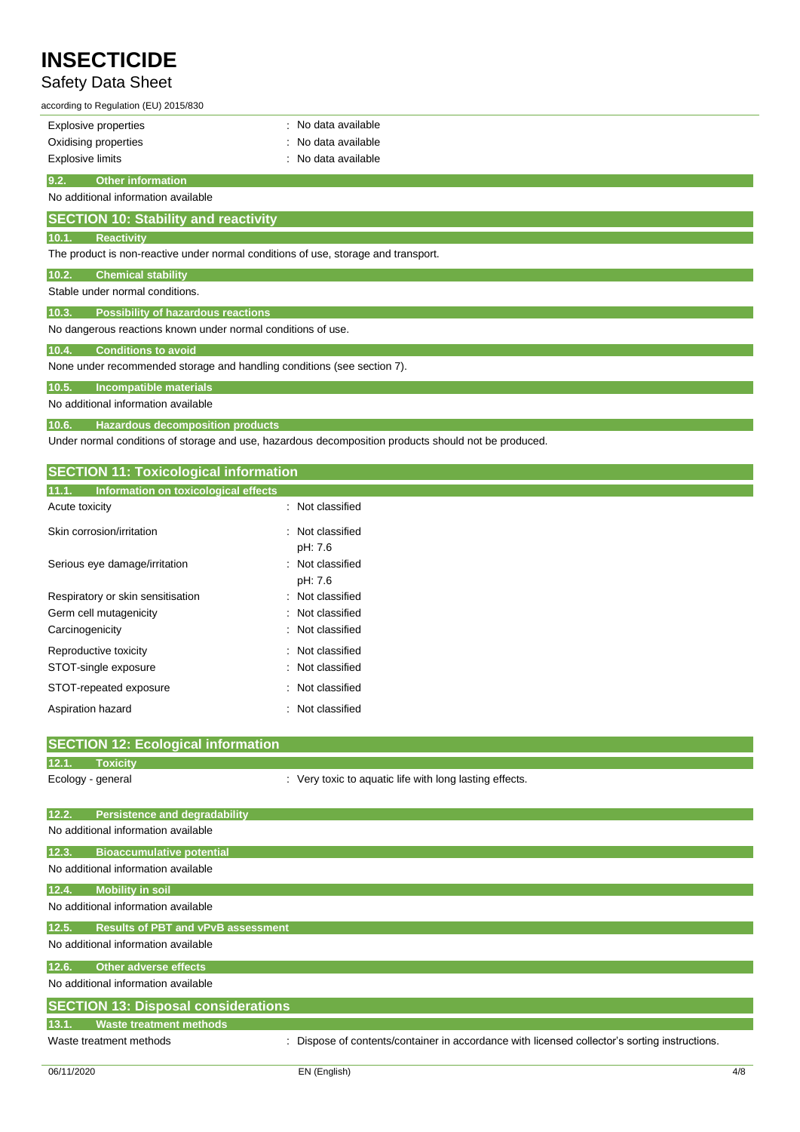## Safety Data Sheet

| according to Regulation (EU) 2015/830                                              |                     |  |  |  |  |
|------------------------------------------------------------------------------------|---------------------|--|--|--|--|
| Explosive properties                                                               | : No data available |  |  |  |  |
| Oxidising properties                                                               | : No data available |  |  |  |  |
| <b>Explosive limits</b>                                                            | : No data available |  |  |  |  |
| <b>Other information</b><br>9.2.                                                   |                     |  |  |  |  |
| No additional information available                                                |                     |  |  |  |  |
| <b>SECTION 10: Stability and reactivity</b>                                        |                     |  |  |  |  |
| 10.1.<br><b>Reactivity</b>                                                         |                     |  |  |  |  |
| The product is non-reactive under normal conditions of use, storage and transport. |                     |  |  |  |  |
| 10.2.<br><b>Chemical stability</b>                                                 |                     |  |  |  |  |
| Stable under normal conditions.                                                    |                     |  |  |  |  |
| 10.3.<br><b>Possibility of hazardous reactions</b>                                 |                     |  |  |  |  |
| No dangerous reactions known under normal conditions of use.                       |                     |  |  |  |  |
| 10.4.<br><b>Conditions to avoid</b>                                                |                     |  |  |  |  |
| None under recommended storage and handling conditions (see section 7).            |                     |  |  |  |  |
| 10.5.<br><b>Incompatible materials</b>                                             |                     |  |  |  |  |
| No additional information available                                                |                     |  |  |  |  |
| 10.6.<br><b>Hazardous decomposition products</b>                                   |                     |  |  |  |  |

Under normal conditions of storage and use, hazardous decomposition products should not be produced.

| Information on toxicological effects<br>11.1. |                             |
|-----------------------------------------------|-----------------------------|
|                                               |                             |
| Acute toxicity                                | : Not classified            |
| Skin corrosion/irritation                     | : Not classified<br>pH: 7.6 |
| Serious eye damage/irritation                 | : Not classified<br>pH: 7.6 |
| Respiratory or skin sensitisation             | : Not classified            |
| Germ cell mutagenicity                        | Not classified<br>÷         |
| Carcinogenicity                               | : Not classified            |
| Reproductive toxicity                         | : Not classified            |
| STOT-single exposure                          | : Not classified            |
| STOT-repeated exposure                        | : Not classified            |
| Aspiration hazard                             | Not classified<br>÷         |
| <b>SECTION 12: Ecological information</b>     |                             |

|       | <b>SECTION 12. ECOLOGICAL INIUMIRATION</b> |                                                                                             |
|-------|--------------------------------------------|---------------------------------------------------------------------------------------------|
| 12.1. | <b>Toxicity</b>                            |                                                                                             |
|       | Ecology - general                          | : Very toxic to aquatic life with long lasting effects.                                     |
|       |                                            |                                                                                             |
| 12.2. | <b>Persistence and degradability</b>       |                                                                                             |
|       | No additional information available        |                                                                                             |
| 12.3. | <b>Bioaccumulative potential</b>           |                                                                                             |
|       | No additional information available        |                                                                                             |
| 12.4. | <b>Mobility in soil</b>                    |                                                                                             |
|       | No additional information available        |                                                                                             |
| 12.5. | <b>Results of PBT and vPvB assessment</b>  |                                                                                             |
|       | No additional information available        |                                                                                             |
| 12.6. | <b>Other adverse effects</b>               |                                                                                             |
|       | No additional information available        |                                                                                             |
|       | <b>SECTION 13: Disposal considerations</b> |                                                                                             |
| 13.1. | <b>Waste treatment methods</b>             |                                                                                             |
|       | Waste treatment methods                    | Dispose of contents/container in accordance with licensed collector's sorting instructions. |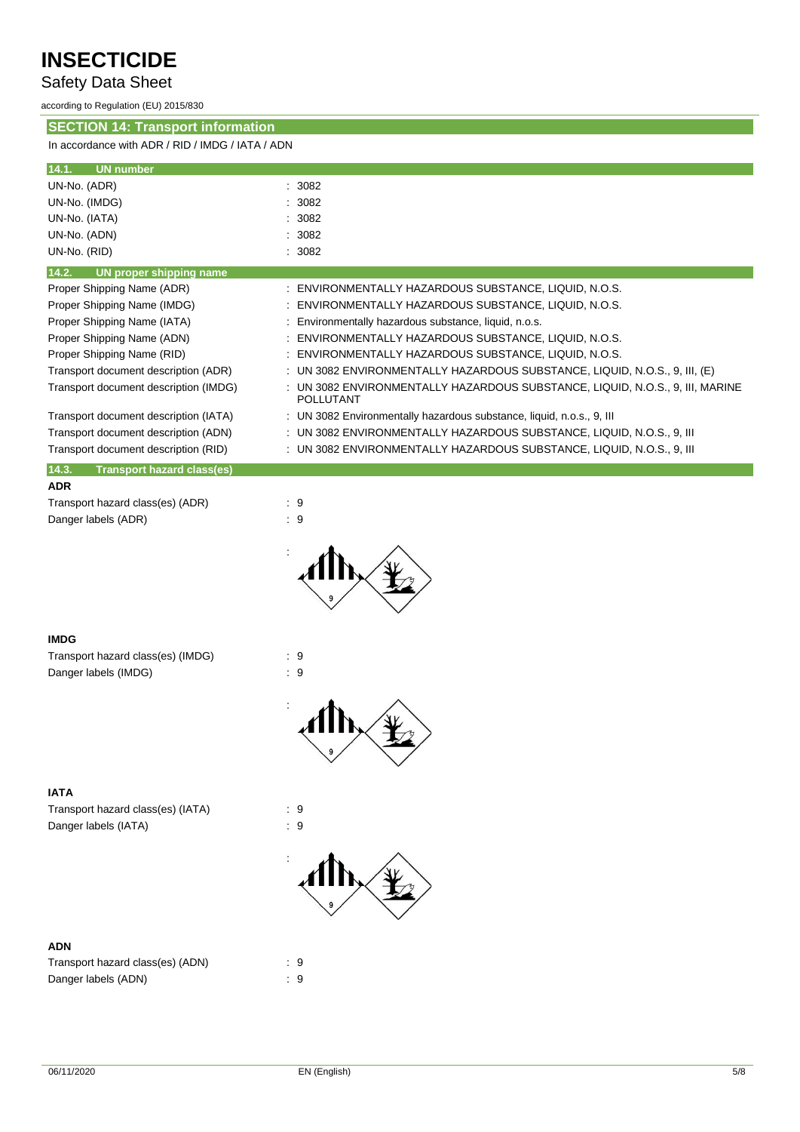Safety Data Sheet

according to Regulation (EU) 2015/830

**SECTION 14: Transport information**

In accordance with ADR / RID / IMDG / IATA / ADN

| 14.1.<br><b>UN number</b>                  |                                                                                                 |
|--------------------------------------------|-------------------------------------------------------------------------------------------------|
| UN-No. (ADR)                               | 3082                                                                                            |
| UN-No. (IMDG)                              | 3082                                                                                            |
| UN-No. (IATA)                              | 3082                                                                                            |
| UN-No. (ADN)                               | 3082                                                                                            |
| UN-No. (RID)                               | 3082                                                                                            |
| 14.2.<br><b>UN proper shipping name</b>    |                                                                                                 |
| Proper Shipping Name (ADR)                 | ENVIRONMENTALLY HAZARDOUS SUBSTANCE, LIQUID, N.O.S.                                             |
| Proper Shipping Name (IMDG)                | ENVIRONMENTALLY HAZARDOUS SUBSTANCE, LIQUID, N.O.S.                                             |
| Proper Shipping Name (IATA)                | Environmentally hazardous substance, liquid, n.o.s.                                             |
| Proper Shipping Name (ADN)                 | ENVIRONMENTALLY HAZARDOUS SUBSTANCE, LIQUID, N.O.S.                                             |
| Proper Shipping Name (RID)                 | ENVIRONMENTALLY HAZARDOUS SUBSTANCE, LIQUID, N.O.S.                                             |
| Transport document description (ADR)       | UN 3082 ENVIRONMENTALLY HAZARDOUS SUBSTANCE, LIQUID, N.O.S., 9, III, (E)                        |
| Transport document description (IMDG)      | UN 3082 ENVIRONMENTALLY HAZARDOUS SUBSTANCE, LIQUID, N.O.S., 9, III, MARINE<br><b>POLLUTANT</b> |
| Transport document description (IATA)      | UN 3082 Environmentally hazardous substance, liquid, n.o.s., 9, III                             |
| Transport document description (ADN)       | UN 3082 ENVIRONMENTALLY HAZARDOUS SUBSTANCE, LIQUID, N.O.S., 9, III                             |
| Transport document description (RID)       | : UN 3082 ENVIRONMENTALLY HAZARDOUS SUBSTANCE, LIQUID, N.O.S., 9, III                           |
| 14.3.<br><b>Transport hazard class(es)</b> |                                                                                                 |
| <b>ADR</b>                                 |                                                                                                 |
| Transport hazard class(es) (ADR)           | :9                                                                                              |
| Danger labels (ADR)                        | $\therefore$ 9                                                                                  |
|                                            |                                                                                                 |
| <b>IMDG</b>                                |                                                                                                 |
| Transport hazard class(es) (IMDG)          | $\cdot$ 9                                                                                       |
| Danger labels (IMDG)                       | $\cdot$ 9                                                                                       |





Transport hazard class(es) (IATA) : 9 Danger labels (IATA)  $\qquad \qquad : 9$ 

### **ADN**

| Transport hazard class(es) (ADN) | . 9 |
|----------------------------------|-----|
| Danger labels (ADN)              | : 9 |

:

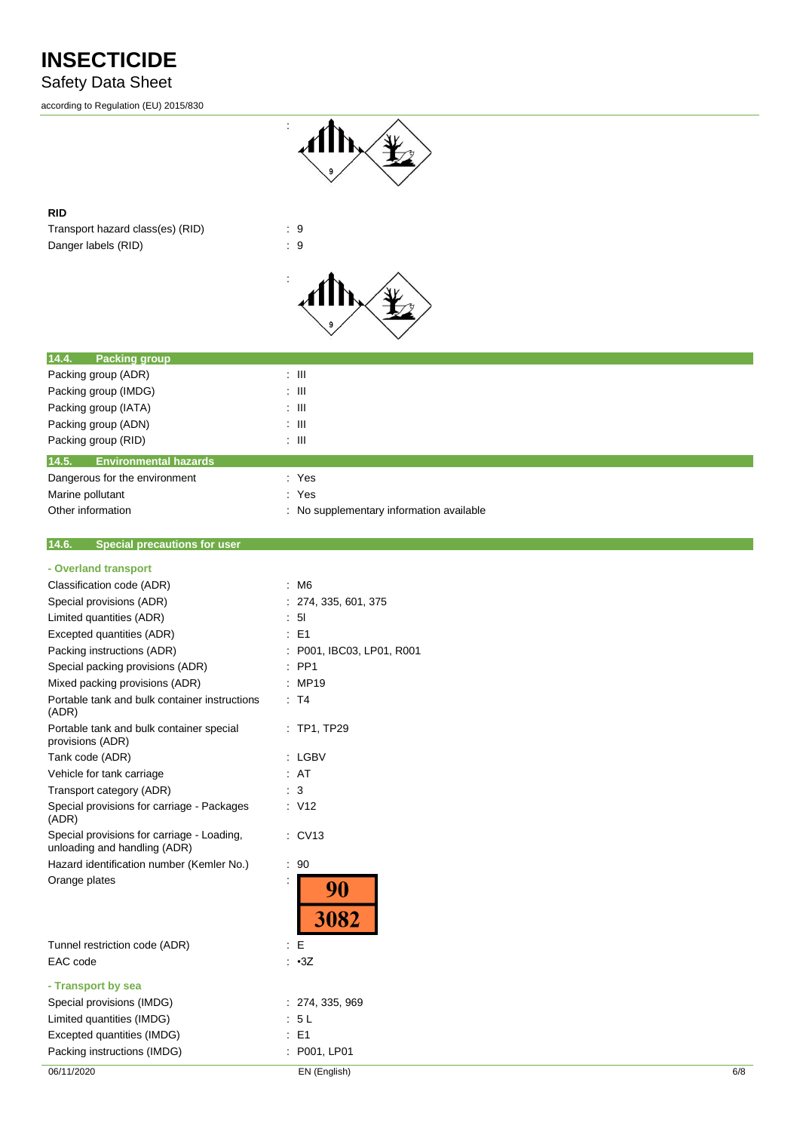## Safety Data Sheet

according to Regulation (EU) 2015/830



### **RID**

Transport hazard class(es) (RID) : 9 Danger labels (RID) : 9



| 14.4.<br><b>Packing group</b>         |                                          |
|---------------------------------------|------------------------------------------|
| Packing group (ADR)                   | ÷ III                                    |
| Packing group (IMDG)                  | ÷ III                                    |
| Packing group (IATA)                  | ÷ III                                    |
| Packing group (ADN)                   | ÷ III                                    |
| Packing group (RID)                   | ÷ III                                    |
| 14.5.<br><b>Environmental hazards</b> |                                          |
| Dangerous for the environment         | : Yes                                    |
| Marine pollutant                      | : Yes                                    |
| Other information                     | : No supplementary information available |

#### **14.6. Special precautions for user**

| 06/11/2020                                                                | EN (English)              | 6/8 |
|---------------------------------------------------------------------------|---------------------------|-----|
| Packing instructions (IMDG)                                               | P001, LP01                |     |
| Excepted quantities (IMDG)                                                | E1                        |     |
| Limited quantities (IMDG)                                                 | : 5L                      |     |
| Special provisions (IMDG)                                                 | : 274, 335, 969           |     |
| - Transport by sea                                                        |                           |     |
| EAC code                                                                  | $\cdot$ $\cdot$ 3Z        |     |
| Tunnel restriction code (ADR)                                             | E                         |     |
|                                                                           | 90<br>3082                |     |
| Orange plates                                                             |                           |     |
| unloading and handling (ADR)<br>Hazard identification number (Kemler No.) | .90                       |     |
| Special provisions for carriage - Loading,                                | : CV13                    |     |
| Special provisions for carriage - Packages<br>(ADR)                       | $\therefore$ V12          |     |
| Transport category (ADR)                                                  | $\therefore$ 3            |     |
| Vehicle for tank carriage                                                 | : AT                      |     |
| Tank code (ADR)                                                           | : LGBV                    |     |
| Portable tank and bulk container special<br>provisions (ADR)              | : TP1, TP29               |     |
| Portable tank and bulk container instructions<br>(ADR)                    | : T4                      |     |
| Mixed packing provisions (ADR)                                            | : MP19                    |     |
| Special packing provisions (ADR)                                          | $:$ PP1                   |     |
| Packing instructions (ADR)                                                | : P001, IBC03, LP01, R001 |     |
| Excepted quantities (ADR)                                                 | $\therefore$ E1           |     |
| Limited quantities (ADR)                                                  | : 51                      |     |
| Special provisions (ADR)                                                  | : 274, 335, 601, 375      |     |
| Classification code (ADR)                                                 | : M6                      |     |
| - Overland transport                                                      |                           |     |
|                                                                           |                           |     |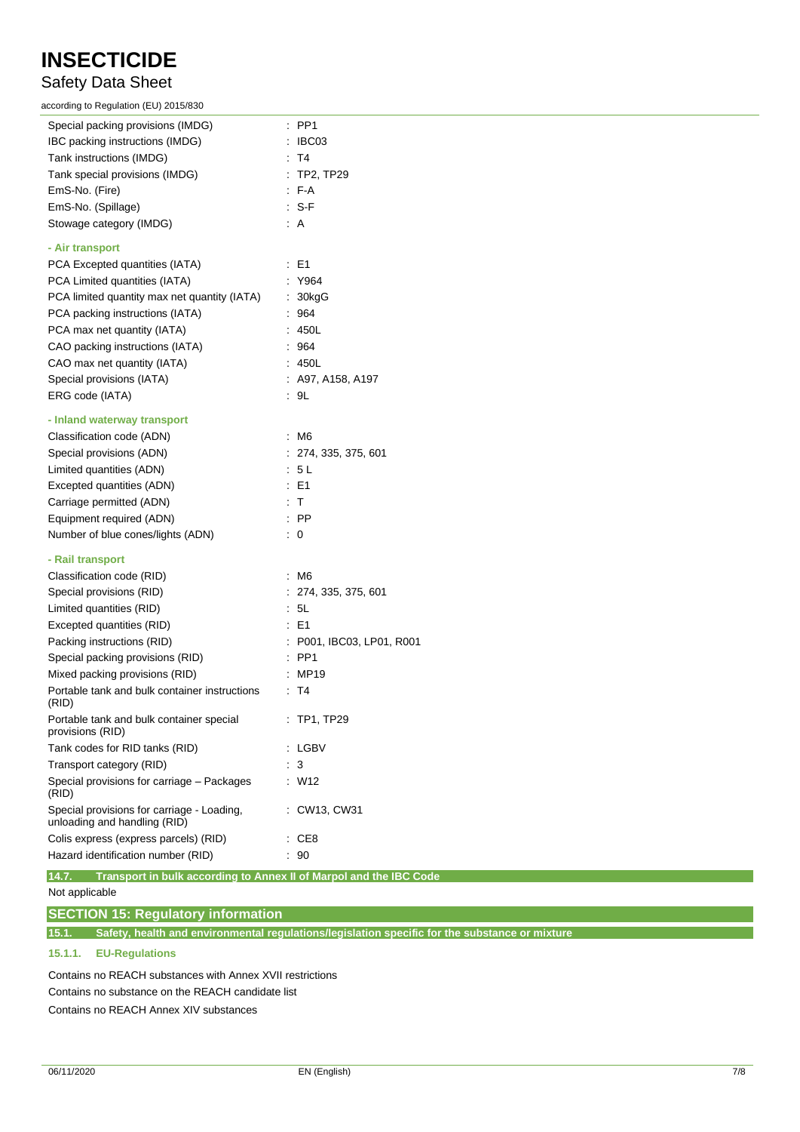## Safety Data Sheet

according to Regulation (EU) 2015/830

| Special packing provisions (IMDG)                                           | $\therefore$ PP1          |
|-----------------------------------------------------------------------------|---------------------------|
| IBC packing instructions (IMDG)                                             | : IBCO3                   |
| Tank instructions (IMDG)                                                    | : T4                      |
| Tank special provisions (IMDG)                                              | : TP2, TP29               |
| EmS-No. (Fire)                                                              | : F-A                     |
| EmS-No. (Spillage)                                                          | $: S-F$                   |
| Stowage category (IMDG)                                                     | : A                       |
| - Air transport                                                             |                           |
| PCA Excepted quantities (IATA)                                              | $\therefore$ E1           |
| PCA Limited quantities (IATA)                                               | : Y964                    |
| PCA limited quantity max net quantity (IATA)                                | : 30kgG                   |
| PCA packing instructions (IATA)                                             | .964                      |
| PCA max net quantity (IATA)                                                 | : 450L                    |
| CAO packing instructions (IATA)                                             | : 964                     |
| CAO max net quantity (IATA)                                                 | : 450L                    |
| Special provisions (IATA)                                                   | $:$ A97, A158, A197       |
| ERG code (IATA)                                                             | : 9L                      |
| - Inland waterway transport                                                 |                           |
| Classification code (ADN)                                                   | $\therefore$ M6           |
| Special provisions (ADN)                                                    | : 274, 335, 375, 601      |
| Limited quantities (ADN)                                                    | : 5 L                     |
| Excepted quantities (ADN)                                                   | $\therefore$ E1           |
| Carriage permitted (ADN)                                                    | : T                       |
| Equipment required (ADN)                                                    | : PP                      |
| Number of blue cones/lights (ADN)                                           | $\therefore$ 0            |
| - Rail transport                                                            |                           |
| Classification code (RID)                                                   | : M6                      |
| Special provisions (RID)                                                    | : 274, 335, 375, 601      |
| Limited quantities (RID)                                                    | : 5L                      |
| Excepted quantities (RID)                                                   | $\therefore$ E1           |
| Packing instructions (RID)                                                  | : P001, IBC03, LP01, R001 |
| Special packing provisions (RID)                                            | $\therefore$ PP1          |
| Mixed packing provisions (RID)                                              | : MP19                    |
| Portable tank and bulk container instructions<br>(RID)                      | : T4                      |
| Portable tank and bulk container special<br>provisions (RID)                | $:$ TP1, TP29             |
| Tank codes for RID tanks (RID)                                              | : LGBV                    |
| Transport category (RID)                                                    | $\cdot$ 3                 |
| Special provisions for carriage - Packages<br>(RID)                         | $\therefore$ W12          |
| Special provisions for carriage - Loading,<br>unloading and handling (RID)  | : CW13, CW31              |
| Colis express (express parcels) (RID)                                       | $\therefore$ CE8          |
| Hazard identification number (RID)                                          | : 90                      |
| Transport in bulk according to Annex II of Marpol and the IBC Code<br>14.7. |                           |

Not applicable

**SECTION 15: Regulatory information**

**15.1. Safety, health and environmental regulations/legislation specific for the substance or mixture**

## **15.1.1. EU-Regulations**

Contains no REACH substances with Annex XVII restrictions Contains no substance on the REACH candidate list Contains no REACH Annex XIV substances